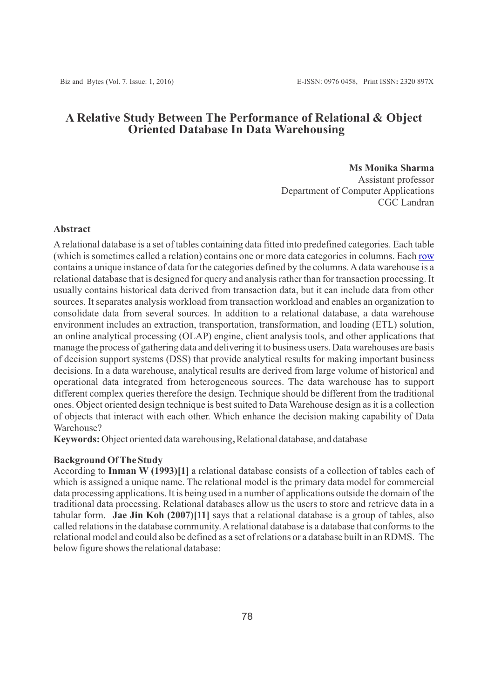# **A Relative Study Between The Performance of Relational & Object Oriented Database In Data Warehousing**

## **Ms Monika Sharma**

Assistant professor Department of Computer Applications CGC Landran

# **Abstract**

Arelational database is a set of tables containing data fitted into predefined categories. Each table (which is sometimes called a relation) contains one or more data categories in columns. Each [row](http://searchoracle.techtarget.com/definition/row) contains a unique instance of data for the categories defined by the columns. Adata warehouse is a relational database that is designed for query and analysis rather than for transaction processing. It usually contains historical data derived from transaction data, but it can include data from other sources. It separates analysis workload from transaction workload and enables an organization to consolidate data from several sources. In addition to a relational database, a data warehouse environment includes an extraction, transportation, transformation, and loading (ETL) solution, an online analytical processing (OLAP) engine, client analysis tools, and other applications that manage the process of gathering data and delivering it to business users. Data warehouses are basis of decision support systems (DSS) that provide analytical results for making important business decisions. In a data warehouse, analytical results are derived from large volume of historical and operational data integrated from heterogeneous sources. The data warehouse has to support different complex queries therefore the design. Technique should be different from the traditional ones. Object oriented design technique is best suited to Data Warehouse design as it is a collection of objects that interact with each other. Which enhance the decision making capability of Data Warehouse?

**Keywords:** Object oriented data warehousing**,** Relational database, and database

# **Background Of The Study**

According to **Inman W (1993)[1]** a relational database consists of a collection of tables each of which is assigned a unique name. The relational model is the primary data model for commercial data processing applications. It is being used in a number of applications outside the domain of the traditional data processing. Relational databases allow us the users to store and retrieve data in a tabular form. **Jae Jin Koh (2007)[11]** says that a relational database is a group of tables, also called relations in the database community. Arelational database is a database that conforms to the relational model and could also be defined as a set of relations or a database built in an RDMS. The below figure shows the relational database: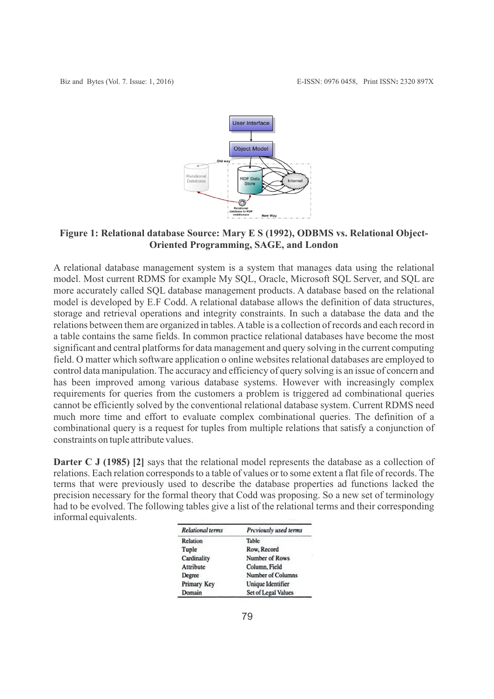

# **Figure 1: Relational database Source: Mary E S (1992), ODBMS vs. Relational Object-Oriented Programming, SAGE, and London**

A relational database management system is a system that manages data using the relational model. Most current RDMS for example My SQL, Oracle, Microsoft SQL Server, and SQL are more accurately called SQL database management products. A database based on the relational model is developed by E.F Codd. A relational database allows the definition of data structures, storage and retrieval operations and integrity constraints. In such a database the data and the relations between them are organized in tables. Atable is a collection of records and each record in a table contains the same fields. In common practice relational databases have become the most significant and central platforms for data management and query solving in the current computing field. O matter which software application o online websites relational databases are employed to control data manipulation. The accuracy and efficiency of query solving is an issue of concern and has been improved among various database systems. However with increasingly complex requirements for queries from the customers a problem is triggered ad combinational queries cannot be efficiently solved by the conventional relational database system. Current RDMS need much more time and effort to evaluate complex combinational queries. The definition of a combinational query is a request for tuples from multiple relations that satisfy a conjunction of constraints on tuple attribute values.

**Darter C J (1985) [2]** says that the relational model represents the database as a collection of relations. Each relation corresponds to a table of values or to some extent a flat file of records. The terms that were previously used to describe the database properties ad functions lacked the precision necessary for the formal theory that Codd was proposing. So a new set of terminology had to be evolved. The following tables give a list of the relational terms and their corresponding informal equivalents.

| <b>Relational terms</b> | Previously used terms |
|-------------------------|-----------------------|
| Relation                | Table                 |
| Tuple                   | Row, Record           |
| Cardinality             | Number of Rows        |
| Attribute               | Column, Field         |
| Degree                  | Number of Columns     |
| Primary Key             | Unique Identifier     |
| Domain                  | Set of Legal Values   |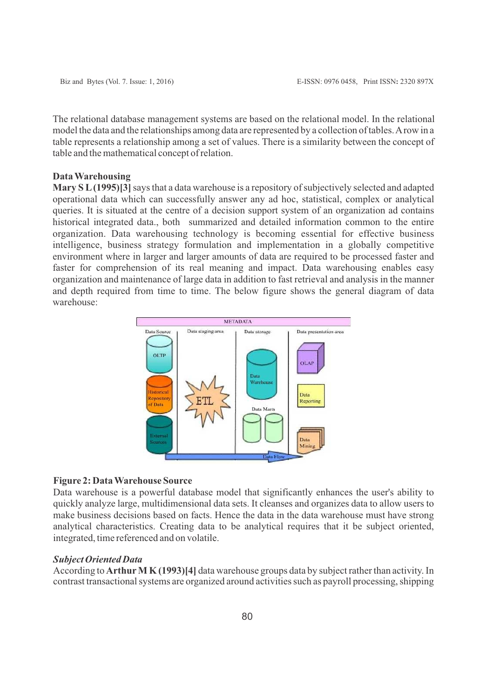The relational database management systems are based on the relational model. In the relational model the data and the relationships among data are represented by a collection of tables. Arow in a table represents a relationship among a set of values. There is a similarity between the concept of table and the mathematical concept of relation.

## **Data Warehousing**

**Mary S L(1995)[3]**says that a data warehouse is a repository of subjectively selected and adapted operational data which can successfully answer any ad hoc, statistical, complex or analytical queries. It is situated at the centre of a decision support system of an organization ad contains historical integrated data., both summarized and detailed information common to the entire organization. Data warehousing technology is becoming essential for effective business intelligence, business strategy formulation and implementation in a globally competitive environment where in larger and larger amounts of data are required to be processed faster and faster for comprehension of its real meaning and impact. Data warehousing enables easy organization and maintenance of large data in addition to fast retrieval and analysis in the manner and depth required from time to time. The below figure shows the general diagram of data warehouse:



#### **Figure 2: Data Warehouse Source**

Data warehouse is a powerful database model that significantly enhances the user's ability to quickly analyze large, multidimensional data sets. It cleanses and organizes data to allow users to make business decisions based on facts. Hence the data in the data warehouse must have strong analytical characteristics. Creating data to be analytical requires that it be subject oriented, integrated, time referenced and on volatile.

## *Subject Oriented Data*

According to **Arthur M K (1993)[4]** data warehouse groups data by subject rather than activity. In contrast transactional systems are organized around activities such as payroll processing, shipping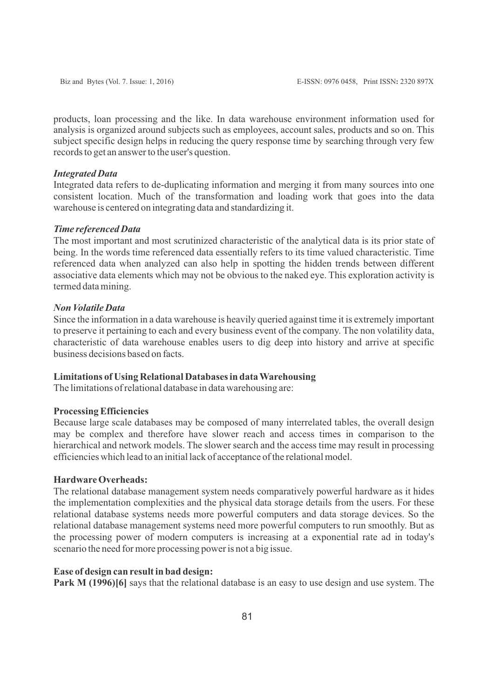products, loan processing and the like. In data warehouse environment information used for analysis is organized around subjects such as employees, account sales, products and so on. This subject specific design helps in reducing the query response time by searching through very few records to get an answer to the user's question.

#### *Integrated Data*

Integrated data refers to de-duplicating information and merging it from many sources into one consistent location. Much of the transformation and loading work that goes into the data warehouse is centered on integrating data and standardizing it.

#### *Time referenced Data*

The most important and most scrutinized characteristic of the analytical data is its prior state of being. In the words time referenced data essentially refers to its time valued characteristic. Time referenced data when analyzed can also help in spotting the hidden trends between different associative data elements which may not be obvious to the naked eye. This exploration activity is termed data mining.

# *Non Volatile Data*

Since the information in a data warehouse is heavily queried against time it is extremely important to preserve it pertaining to each and every business event of the company. The non volatility data, characteristic of data warehouse enables users to dig deep into history and arrive at specific business decisions based on facts.

## **Limitations of Using Relational Databases in data Warehousing**

The limitations of relational database in data warehousing are:

## **Processing Efficiencies**

Because large scale databases may be composed of many interrelated tables, the overall design may be complex and therefore have slower reach and access times in comparison to the hierarchical and network models. The slower search and the access time may result in processing efficiencies which lead to an initial lack of acceptance of the relational model.

## **Hardware Overheads:**

The relational database management system needs comparatively powerful hardware as it hides the implementation complexities and the physical data storage details from the users. For these relational database systems needs more powerful computers and data storage devices. So the relational database management systems need more powerful computers to run smoothly. But as the processing power of modern computers is increasing at a exponential rate ad in today's scenario the need for more processing power is not a big issue.

## **Ease of design can result in bad design:**

**Park M (1996)[6]** says that the relational database is an easy to use design and use system. The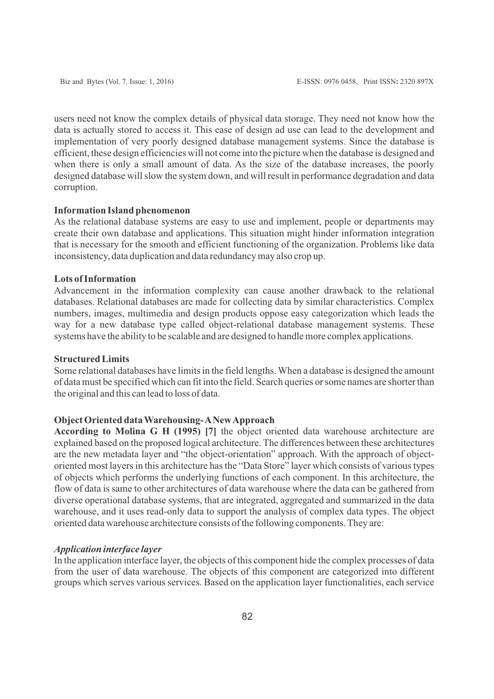users need not know the complex details of physical data storage. They need not know how the data is actually stored to access it. This ease of design ad use can lead to the development and implementation of very poorly designed database management systems. Since the database is efficient, these design efficiencies will not come into the picture when the database is designed and when there is only a small amount of data. As the size of the database increases, the poorly designed database will slow the system down, and will result in performance degradation and data corruption.

#### **Information Island phenomenon**

As the relational database systems are easy to use and implement, people or departments may create their own database and applications. This situation might hinder information integration that is necessary for the smooth and efficient functioning of the organization. Problems like data inconsistency, data duplication and data redundancy may also crop up.

# **Lots of Information**

Advancement in the information complexity can cause another drawback to the relational databases. Relational databases are made for collecting data by similar characteristics. Complex numbers, images, multimedia and design products oppose easy categorization which leads the way for a new database type called object-relational database management systems. These systems have the ability to be scalable and are designed to handle more complex applications.

### **Structured Limits**

Some relational databases have limits in the field lengths. When a database is designed the amount of data must be specified which can fit into the field. Search queries or some names are shorter than the original and this can lead to loss of data.

## **Object Oriented data Warehousing- ANew Approach**

**According to Molina G H (1995) [7]** the object oriented data warehouse architecture are explained based on the proposed logical architecture. The differences between these architectures are the new metadata layer and "the object-orientation" approach. With the approach of objectoriented most layers in this architecture has the "Data Store" layer which consists of various types of objects which performs the underlying functions of each component. In this architecture, the flow of data is same to other architectures of data warehouse where the data can be gathered from diverse operational database systems, that are integrated, aggregated and summarized in the data warehouse, and it uses read-only data to support the analysis of complex data types. The object oriented data warehouse architecture consists of the following components. They are:

## *Application interface layer*

In the application interface layer, the objects of this component hide the complex processes of data from the user of data warehouse. The objects of this component are categorized into different groups which serves various services. Based on the application layer functionalities, each service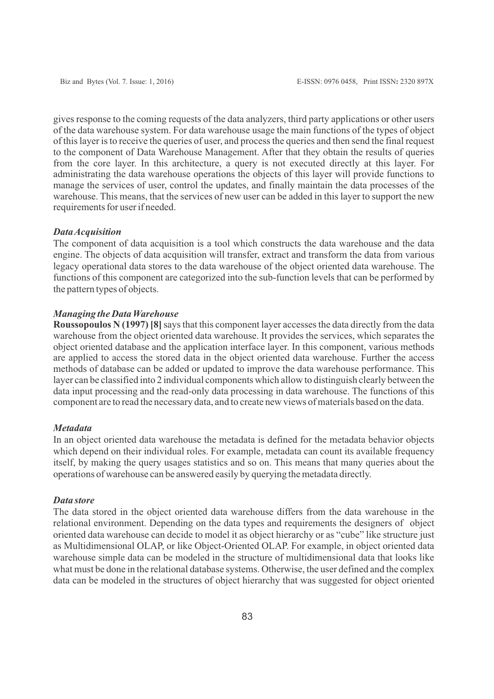gives response to the coming requests of the data analyzers, third party applications or other users of the data warehouse system. For data warehouse usage the main functions of the types of object of this layer is to receive the queries of user, and process the queries and then send the final request to the component of Data Warehouse Management. After that they obtain the results of queries from the core layer. In this architecture, a query is not executed directly at this layer. For administrating the data warehouse operations the objects of this layer will provide functions to manage the services of user, control the updates, and finally maintain the data processes of the warehouse. This means, that the services of new user can be added in this layer to support the new requirements for user if needed.

#### *Data Acquisition*

The component of data acquisition is a tool which constructs the data warehouse and the data engine. The objects of data acquisition will transfer, extract and transform the data from various legacy operational data stores to the data warehouse of the object oriented data warehouse. The functions of this component are categorized into the sub-function levels that can be performed by the pattern types of objects.

## *Managing the Data Warehouse*

**Roussopoulos N (1997) [8]** says that this component layer accesses the data directly from the data warehouse from the object oriented data warehouse. It provides the services, which separates the object oriented database and the application interface layer. In this component, various methods are applied to access the stored data in the object oriented data warehouse. Further the access methods of database can be added or updated to improve the data warehouse performance. This layer can be classified into 2 individual components which allow to distinguish clearly between the data input processing and the read-only data processing in data warehouse. The functions of this component are to read the necessary data, and to create new views of materials based on the data.

#### *Metadata*

In an object oriented data warehouse the metadata is defined for the metadata behavior objects which depend on their individual roles. For example, metadata can count its available frequency itself, by making the query usages statistics and so on. This means that many queries about the operations of warehouse can be answered easily by querying the metadata directly.

#### *Data store*

The data stored in the object oriented data warehouse differs from the data warehouse in the relational environment. Depending on the data types and requirements the designers of object oriented data warehouse can decide to model it as object hierarchy or as "cube" like structure just as Multidimensional OLAP, or like Object-Oriented OLAP. For example, in object oriented data warehouse simple data can be modeled in the structure of multidimensional data that looks like what must be done in the relational database systems. Otherwise, the user defined and the complex data can be modeled in the structures of object hierarchy that was suggested for object oriented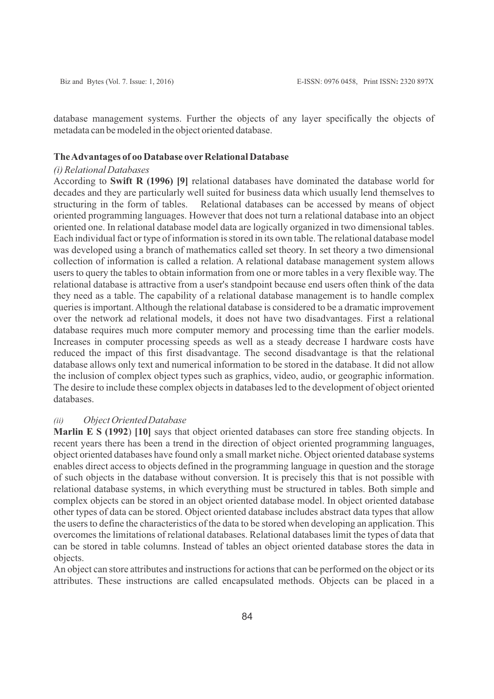database management systems. Further the objects of any layer specifically the objects of metadata can be modeled in the object oriented database.

#### **The Advantages of oo Database overRelational Database**

#### *(i) Relational Databases*

According to **Swift R (1996) [9]** relational databases have dominated the database world for decades and they are particularly well suited for business data which usually lend themselves to structuring in the form of tables. Relational databases can be accessed by means of object oriented programming languages. However that does not turn a relational database into an object oriented one. In relational database model data are logically organized in two dimensional tables. Each individual fact or type of information is stored in its own table. The relational database model was developed using a branch of mathematics called set theory. In set theory a two dimensional collection of information is called a relation. A relational database management system allows users to query the tables to obtain information from one or more tables in a very flexible way. The relational database is attractive from a user's standpoint because end users often think of the data they need as a table. The capability of a relational database management is to handle complex queries is important. Although the relational database is considered to be a dramatic improvement over the network ad relational models, it does not have two disadvantages. First a relational database requires much more computer memory and processing time than the earlier models. Increases in computer processing speeds as well as a steady decrease I hardware costs have reduced the impact of this first disadvantage. The second disadvantage is that the relational database allows only text and numerical information to be stored in the database. It did not allow the inclusion of complex object types such as graphics, video, audio, or geographic information. The desire to include these complex objects in databases led to the development of object oriented databases.

#### *(ii) Object Oriented Database*

**Marlin E S (1992**) **[10]** says that object oriented databases can store free standing objects. In recent years there has been a trend in the direction of object oriented programming languages, object oriented databases have found only a small market niche. Object oriented database systems enables direct access to objects defined in the programming language in question and the storage of such objects in the database without conversion. It is precisely this that is not possible with relational database systems, in which everything must be structured in tables. Both simple and complex objects can be stored in an object oriented database model. In object oriented database other types of data can be stored. Object oriented database includes abstract data types that allow the users to define the characteristics of the data to be stored when developing an application. This overcomes the limitations of relational databases. Relational databases limit the types of data that can be stored in table columns. Instead of tables an object oriented database stores the data in objects.

An object can store attributes and instructions for actions that can be performed on the object or its attributes. These instructions are called encapsulated methods. Objects can be placed in a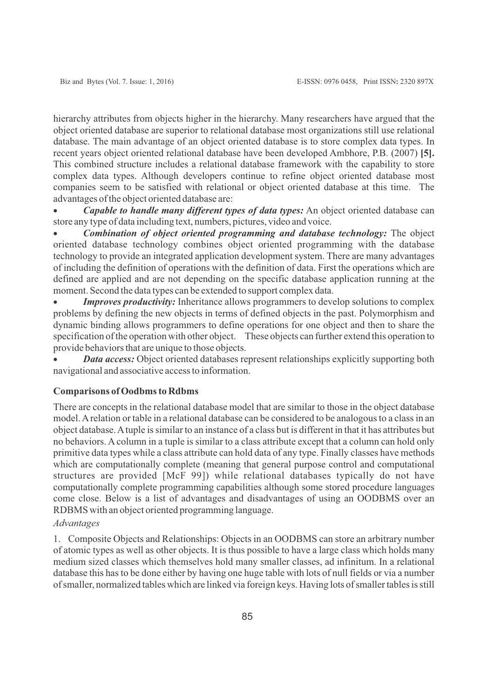hierarchy attributes from objects higher in the hierarchy. Many researchers have argued that the object oriented database are superior to relational database most organizations still use relational database. The main advantage of an object oriented database is to store complex data types. In recent years object oriented relational database have been developed Ambhore, P.B. (2007) **[5].** This combined structure includes a relational database framework with the capability to store complex data types. Although developers continue to refine object oriented database most companies seem to be satisfied with relational or object oriented database at this time. The advantages of the object oriented database are:

*Capable to handle many different types of data types:* **An object oriented database can** store any type of data including text, numbers, pictures, video and voice.

· *Combination of object oriented programming and database technology:* The object oriented database technology combines object oriented programming with the database technology to provide an integrated application development system. There are many advantages of including the definition of operations with the definition of data. First the operations which are defined are applied and are not depending on the specific database application running at the moment. Second the data types can be extended to support complex data.

*Improves productivity:* Inheritance allows programmers to develop solutions to complex problems by defining the new objects in terms of defined objects in the past. Polymorphism and dynamic binding allows programmers to define operations for one object and then to share the specification of the operation with other object. These objects can further extend this operation to provide behaviors that are unique to those objects.

*Data access:* Object oriented databases represent relationships explicitly supporting both navigational and associative access to information.

# **Comparisons of Oodbms to Rdbms**

There are concepts in the relational database model that are similar to those in the object database model. Arelation or table in a relational database can be considered to be analogous to a class in an object database. Atuple is similar to an instance of a class but is different in that it has attributes but no behaviors. A column in a tuple is similar to a class attribute except that a column can hold only primitive data types while a class attribute can hold data of any type. Finally classes have methods which are computationally complete (meaning that general purpose control and computational structures are provided [McF 99]) while relational databases typically do not have computationally complete programming capabilities although some stored procedure languages come close. Below is a list of advantages and disadvantages of using an OODBMS over an RDBMS with an object oriented programming language.

# *Advantages*

1. Composite Objects and Relationships: Objects in an OODBMS can store an arbitrary number of atomic types as well as other objects. It is thus possible to have a large class which holds many medium sized classes which themselves hold many smaller classes, ad infinitum. In a relational database this has to be done either by having one huge table with lots of null fields or via a number of smaller, normalized tables which are linked via foreign keys. Having lots of smaller tables is still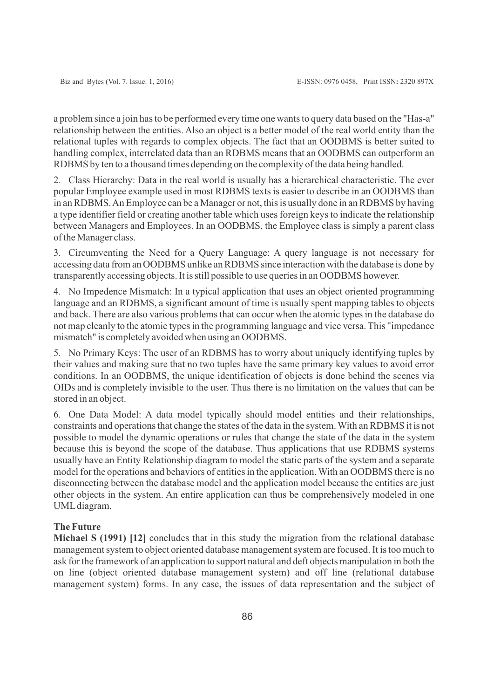a problem since a join has to be performed every time one wants to query data based on the "Has-a" relationship between the entities. Also an object is a better model of the real world entity than the relational tuples with regards to complex objects. The fact that an OODBMS is better suited to handling complex, interrelated data than an RDBMS means that an OODBMS can outperform an RDBMS by ten to a thousand times depending on the complexity of the data being handled.

2. Class Hierarchy: Data in the real world is usually has a hierarchical characteristic. The ever popular Employee example used in most RDBMS texts is easier to describe in an OODBMS than in an RDBMS. An Employee can be a Manager or not, this is usually done in an RDBMS by having a type identifier field or creating another table which uses foreign keys to indicate the relationship between Managers and Employees. In an OODBMS, the Employee class is simply a parent class of the Manager class.

3. Circumventing the Need for a Query Language: A query language is not necessary for accessing data from an OODBMS unlike an RDBMS since interaction with the database is done by transparently accessing objects. It is still possible to use queries in an OODBMS however.

4. No Impedence Mismatch: In a typical application that uses an object oriented programming language and an RDBMS, a significant amount of time is usually spent mapping tables to objects and back. There are also various problems that can occur when the atomic types in the database do not map cleanly to the atomic types in the programming language and vice versa. This "impedance mismatch" is completely avoided when using an OODBMS.

5. No Primary Keys: The user of an RDBMS has to worry about uniquely identifying tuples by their values and making sure that no two tuples have the same primary key values to avoid error conditions. In an OODBMS, the unique identification of objects is done behind the scenes via OIDs and is completely invisible to the user. Thus there is no limitation on the values that can be stored in an object.

6. One Data Model: A data model typically should model entities and their relationships, constraints and operations that change the states of the data in the system. With an RDBMS it is not possible to model the dynamic operations or rules that change the state of the data in the system because this is beyond the scope of the database. Thus applications that use RDBMS systems usually have an Entity Relationship diagram to model the static parts of the system and a separate model for the operations and behaviors of entities in the application. With an OODBMS there is no disconnecting between the database model and the application model because the entities are just other objects in the system. An entire application can thus be comprehensively modeled in one UMLdiagram.

# **The Future**

**Michael S (1991) [12]** concludes that in this study the migration from the relational database management system to object oriented database management system are focused. It is too much to ask for the framework of an application to support natural and deft objects manipulation in both the on line (object oriented database management system) and off line (relational database management system) forms. In any case, the issues of data representation and the subject of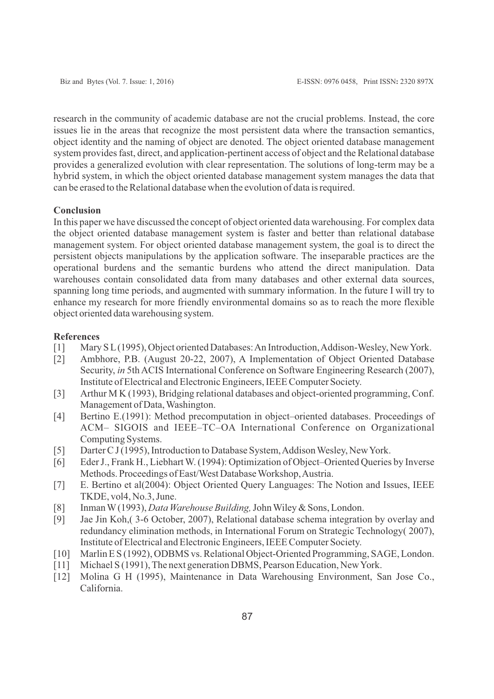research in the community of academic database are not the crucial problems. Instead, the core issues lie in the areas that recognize the most persistent data where the transaction semantics, object identity and the naming of object are denoted. The object oriented database management system provides fast, direct, and application-pertinent access of object and the Relational database provides a generalized evolution with clear representation. The solutions of long-term may be a hybrid system, in which the object oriented database management system manages the data that can be erased to the Relational database when the evolution of data is required.

## **Conclusion**

In this paper we have discussed the concept of object oriented data warehousing. For complex data the object oriented database management system is faster and better than relational database management system. For object oriented database management system, the goal is to direct the persistent objects manipulations by the application software. The inseparable practices are the operational burdens and the semantic burdens who attend the direct manipulation. Data warehouses contain consolidated data from many databases and other external data sources, spanning long time periods, and augmented with summary information. In the future I will try to enhance my research for more friendly environmental domains so as to reach the more flexible object oriented data warehousing system.

## **References**

- [1] Mary S L(1995), Object oriented Databases: An Introduction, Addison-Wesley, New York.
- [2] Ambhore, P.B. (August 20-22, 2007), A Implementation of Object Oriented Database Security, *in* 5th ACIS International Conference on Software Engineering Research (2007), Institute of Electrical and Electronic Engineers, IEEE Computer Society.
- [3] Arthur M K (1993), Bridging relational databases and object-oriented programming, Conf. Management of Data, Washington.
- [4] Bertino E.(1991): Method precomputation in object–oriented databases. Proceedings of ACM– SIGOIS and IEEE–TC–OA International Conference on Organizational Computing Systems.
- [5] Darter C J (1995), Introduction to Database System, Addison Wesley, New York.
- [6] Eder J., Frank H., Liebhart W. (1994): Optimization of Object–Oriented Queries by Inverse Methods. Proceedings of East/West Database Workshop, Austria.
- [7] E. Bertino et al(2004): Object Oriented Query Languages: The Notion and Issues, IEEE TKDE, vol4, No.3, June.
- [8] Inman W(1993), *Data Warehouse Building,*John Wiley & Sons, London.
- [9] Jae Jin Koh,( 3-6 October, 2007), Relational database schema integration by overlay and redundancy elimination methods, in International Forum on Strategic Technology( 2007), Institute of Electrical and Electronic Engineers, IEEE Computer Society.
- [10] Marlin E S (1992), ODBMS vs. Relational Object-Oriented Programming, SAGE, London.
- [11] Michael S (1991), The next generation DBMS, Pearson Education, New York.
- [12] Molina G H (1995), Maintenance in Data Warehousing Environment, San Jose Co., California.